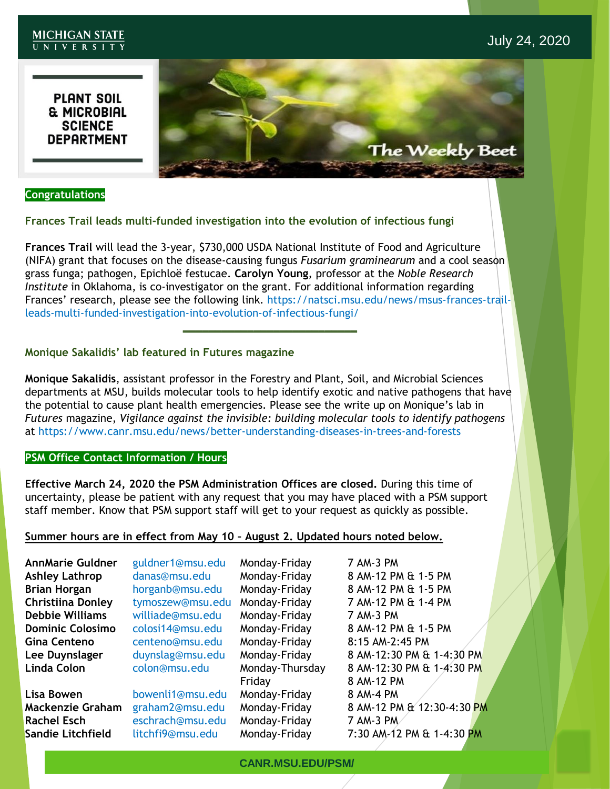#### **MICHIGAN STATE** UNIVERSITY

**PLANT SOIL THE MICROBIAL<br>SCIENCE<br>DEPARTMENT** 



### **Congratulations**

### **Frances Trail leads multi-funded investigation into the evolution of infectious fungi**

**Frances Trail** will lead the 3-year, \$730,000 USDA National Institute of Food and Agriculture (NIFA) grant that focuses on the disease-causing fungus *Fusarium graminearum* and a cool season grass funga; pathogen, Epichloë festucae. **Carolyn Young**, professor at the *Noble Research Institute* in Oklahoma, is co-investigator on the grant. For additional information regarding Frances' research, please see the following link. https://natsci.msu.edu/news/msus-frances-trailleads-multi-funded-investigation-into-evolution-of-infectious-fungi/

**\_\_\_\_\_\_\_\_\_\_\_\_\_\_\_\_\_\_\_\_\_\_\_\_\_\_\_**

### **Monique Sakalidis' lab featured in Futures magazine**

**Monique Sakalidis**, assistant professor in the Forestry and Plant, Soil, and Microbial Sciences departments at MSU, builds molecular tools to help identify exotic and native pathogens that have the potential to cause plant health emergencies. Please see the write up on Monique's lab in *Futures* magazine, *Vigilance against the invisible: building molecular tools to identify pathogens*  at https://www.canr.msu.edu/news/better-understanding-diseases-in-trees-and-forests

### **PSM Office Contact Information / Hours**

**Effective March 24, 2020 the PSM Administration Offices are closed.** During this time of uncertainty, please be patient with any request that you may have placed with a PSM support staff member. Know that PSM support staff will get to your request as quickly as possible.

### **Summer hours are in effect from May 10 – August 2. Updated hours noted below.**

| <b>AnnMarie Guldner</b><br><b>Ashley Lathrop</b><br><b>Brian Horgan</b><br><b>Christiina Donley</b><br><b>Debbie Williams</b><br><b>Dominic Colosimo</b><br><b>Gina Centeno</b><br>Lee Duynslager<br><b>Linda Colon</b> | guldner1@msu.edu<br>danas@msu.edu<br>horganb@msu.edu<br>tymoszew@msu.edu<br>williade@msu.edu<br>colosi14@msu.edu<br>centeno@msu.edu<br>duynslag@msu.edu<br>colon@msu.edu | Monday-Friday<br>Monday-Friday<br>Monday-Friday<br>Monday-Friday<br>Monday-Friday<br>Monday-Friday<br>Monday-Friday<br>Monday-Friday<br>Monday-Thursday | 7 AM-3 PM<br>8 AM-12 PM & 1-5 PM<br>8 AM-12 PM & 1-5 PM<br>7 AM-12 PM & 1-4 PM<br>7 AM-3 PM<br>8 AM-12 PM & 1-5 PM<br>8:15 AM-2:45 PM<br>8 AM-12:30 PM & 1-4:30 PM<br>8 AM-12:30 PM & 1-4:30 PM |
|-------------------------------------------------------------------------------------------------------------------------------------------------------------------------------------------------------------------------|--------------------------------------------------------------------------------------------------------------------------------------------------------------------------|---------------------------------------------------------------------------------------------------------------------------------------------------------|-------------------------------------------------------------------------------------------------------------------------------------------------------------------------------------------------|
| Lisa Bowen<br><b>Mackenzie Graham</b><br><b>Rachel Esch</b><br>Sandie Litchfield                                                                                                                                        | bowenli1@msu.edu<br>graham2@msu.edu<br>eschrach@msu.edu<br>litchfi9@msu.edu                                                                                              | Friday<br>Monday-Friday<br>Monday-Friday<br>Monday-Friday<br>Monday-Friday                                                                              | 8 AM-12 PM<br>8 AM-4 PM<br>8 AM-12 PM & 12:30-4:30 PM<br>7 AM-3 PM<br>7:30 AM-12 PM & 1-4:30 PM                                                                                                 |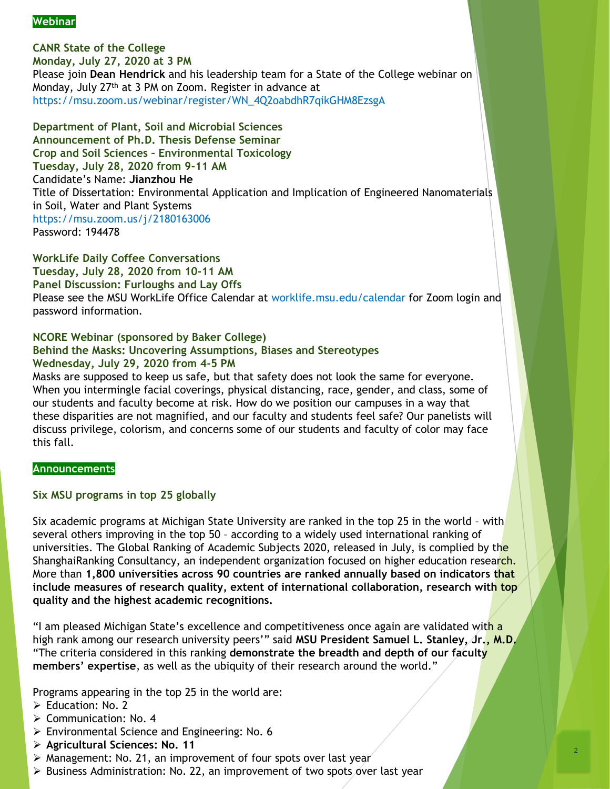# **Webinar**

**CANR State of the College Monday, July 27, 2020 at 3 PM** Please join **Dean Hendrick** and his leadership team for a State of the College webinar on Monday, July 27th at 3 PM on Zoom. Register in advance at https://msu.zoom.us/webinar/register/WN\_4Q2oabdhR7qikGHM8EzsgA

**Department of Plant, Soil and Microbial Sciences Announcement of Ph.D. Thesis Defense Seminar Crop and Soil Sciences – Environmental Toxicology Tuesday, July 28, 2020 from 9-11 AM** Candidate's Name: **Jianzhou He** Title of Dissertation: Environmental Application and Implication of Engineered Nanomaterials in Soil, Water and Plant Systems https://msu.zoom.us/j/2180163006 Password: 194478

**WorkLife Daily Coffee Conversations Tuesday, July 28, 2020 from 10-11 AM Panel Discussion: Furloughs and Lay Offs** Please see the MSU WorkLife Office Calendar at worklife.msu.edu/calendar for Zoom login and password information.

# **NCORE Webinar (sponsored by Baker College)**

### **Behind the Masks: Uncovering Assumptions, Biases and Stereotypes Wednesday, July 29, 2020 from 4-5 PM**

Masks are supposed to keep us safe, but that safety does not look the same for everyone. When you intermingle facial coverings, physical distancing, race, gender, and class, some of our students and faculty become at risk. How do we position our campuses in a way that these disparities are not magnified, and our faculty and students feel safe? Our panelists will discuss privilege, colorism, and concerns some of our students and faculty of color may face this fall.

### **Announcements**

### **Six MSU programs in top 25 globally**

Six academic programs at Michigan State University are ranked in the top 25 in the world – with several others improving in the top 50 – according to a widely used international ranking of universities. The Global Ranking of Academic Subjects 2020, released in July, is complied by the ShanghaiRanking Consultancy, an independent organization focused on higher education research. More than **1,800 universities across 90 countries are ranked annually based on indicators that include measures of research quality, extent of international collaboration, research with top quality and the highest academic recognitions.** 

"I am pleased Michigan State's excellence and competitiveness once again are validated with a high rank among our research university peers'" said **MSU President Samuel L. Stanley, Jr., M.D.**  "The criteria considered in this ranking **demonstrate the breadth and depth of our faculty members' expertise**, as well as the ubiquity of their research around the world."

Programs appearing in the top 25 in the world are:

- ➢ Education: No. 2
- ➢ Communication: No. 4
- ➢ Environmental Science and Engineering: No. 6
- ➢ **Agricultural Sciences: No. 11**
- ➢ Management: No. 21, an improvement of four spots over last year
- ➢ Business Administration: No. 22, an improvement of two spots over last year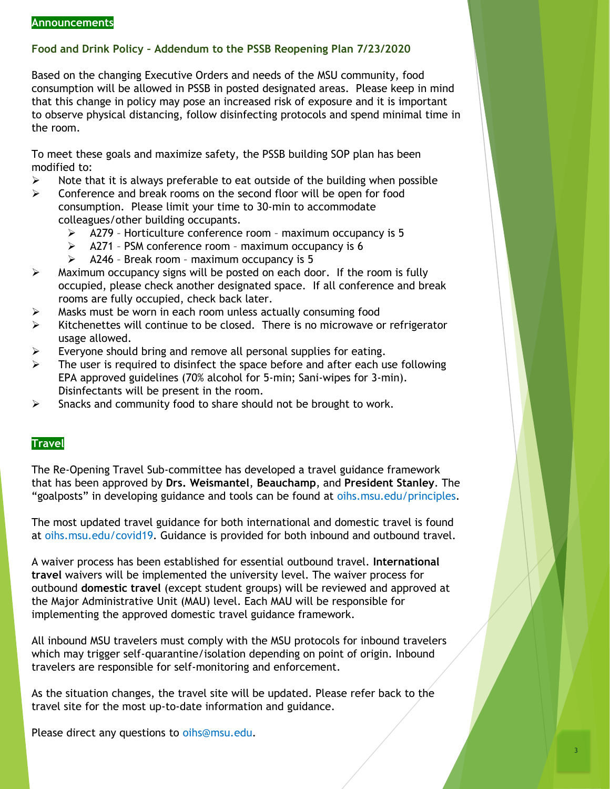# **Food and Drink Policy – Addendum to the PSSB Reopening Plan 7/23/2020**

Based on the changing Executive Orders and needs of the MSU community, food consumption will be allowed in PSSB in posted designated areas. Please keep in mind that this change in policy may pose an increased risk of exposure and it is important to observe physical distancing, follow disinfecting protocols and spend minimal time in the room.

To meet these goals and maximize safety, the PSSB building SOP plan has been modified to:

- $\triangleright$  Note that it is always preferable to eat outside of the building when possible
- $\triangleright$  Conference and break rooms on the second floor will be open for food consumption. Please limit your time to 30-min to accommodate colleagues/other building occupants.
	- ➢ A279 Horticulture conference room maximum occupancy is 5
	- ➢ A271 PSM conference room maximum occupancy is 6
	- $\triangleright$  A246 Break room maximum occupancy is 5
- $\triangleright$  Maximum occupancy signs will be posted on each door. If the room is fully occupied, please check another designated space. If all conference and break rooms are fully occupied, check back later.
- ➢ Masks must be worn in each room unless actually consuming food
- $\triangleright$  Kitchenettes will continue to be closed. There is no microwave or refrigerator usage allowed.
- $\triangleright$  Everyone should bring and remove all personal supplies for eating.
- $\triangleright$  The user is required to disinfect the space before and after each use following EPA approved guidelines (70% alcohol for 5-min; Sani-wipes for 3-min). Disinfectants will be present in the room.
- $\triangleright$  Snacks and community food to share should not be brought to work.

# **Travel**

The Re-Opening Travel Sub-committee has developed a travel guidance framework that has been approved by **Drs. Weismantel**, **Beauchamp**, and **President Stanley**. The "goalposts" in developing guidance and tools can be found at oihs.msu.edu/principles.

The most updated travel guidance for both international and domestic travel is found at oihs.msu.edu/covid19. Guidance is provided for both inbound and outbound travel.

A waiver process has been established for essential outbound travel. **International travel** waivers will be implemented the university level. The waiver process for outbound **domestic travel** (except student groups) will be reviewed and approved at the Major Administrative Unit (MAU) level. Each MAU will be responsible for implementing the approved domestic travel guidance framework.

All inbound MSU travelers must comply with the MSU protocols for inbound travelers which may trigger self-quarantine/isolation depending on point of origin. Inbound travelers are responsible for self-monitoring and enforcement.

As the situation changes, the travel site will be updated. Please refer back to the travel site for the most up-to-date information and guidance.

Please direct any questions to oihs@msu.edu.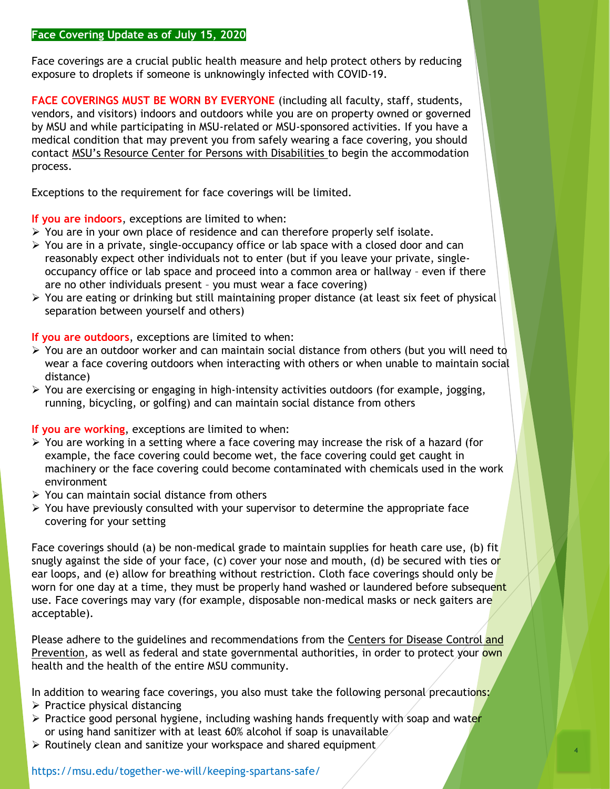#### **Face Covering Update as of July 15, 2020**

Face coverings are a crucial public health measure and help protect others by reducing exposure to droplets if someone is unknowingly infected with COVID-19.

**FACE COVERINGS MUST BE WORN BY EVERYONE** (including all faculty, staff, students, vendors, and visitors) indoors and outdoors while you are on property owned or governed by MSU and while participating in MSU-related or MSU-sponsored activities. If you have a medical condition that may prevent you from safely wearing a face covering, you should contact MSU's Resource Center for Persons with Disabilities to begin the accommodation process.

Exceptions to the requirement for face coverings will be limited.

**If you are indoors**, exceptions are limited to when:

- $\triangleright$  You are in your own place of residence and can therefore properly self isolate.
- ➢ You are in a private, single-occupancy office or lab space with a closed door and can reasonably expect other individuals not to enter (but if you leave your private, singleoccupancy office or lab space and proceed into a common area or hallway – even if there are no other individuals present – you must wear a face covering)
- ➢ You are eating or drinking but still maintaining proper distance (at least six feet of physical separation between yourself and others)

## **If you are outdoors**, exceptions are limited to when:

- $\triangleright$  You are an outdoor worker and can maintain social distance from others (but you will need to wear a face covering outdoors when interacting with others or when unable to maintain social distance)
- $\triangleright$  You are exercising or engaging in high-intensity activities outdoors (for example, jogging, running, bicycling, or golfing) and can maintain social distance from others

# **If you are working**, exceptions are limited to when:

- ➢ You are working in a setting where a face covering may increase the risk of a hazard (for example, the face covering could become wet, the face covering could get caught in machinery or the face covering could become contaminated with chemicals used in the work environment
- ➢ You can maintain social distance from others
- $\triangleright$  You have previously consulted with your supervisor to determine the appropriate face covering for your setting

Face coverings should (a) be non-medical grade to maintain supplies for heath care use, (b) fit snugly against the side of your face, (c) cover your nose and mouth, (d) be secured with ties or ear loops, and (e) allow for breathing without restriction. Cloth face coverings should only be worn for one day at a time, they must be properly hand washed or laundered before subsequent use. Face coverings may vary (for example, disposable non-medical masks or neck gaiters are acceptable).

Please adhere to the guidelines and recommendations from the Centers for Disease Control and Prevention, as well as federal and state governmental authorities, in order to protect your own health and the health of the entire MSU community.

In addition to wearing face coverings, you also must take the following personal precautions:

- $\triangleright$  Practice physical distancing
- $\triangleright$  Practice good personal hygiene, including washing hands frequently with soap and water or using hand sanitizer with at least 60% alcohol if soap is unavailable

4

 $\triangleright$  Routinely clean and sanitize your workspace and shared equipment

https://msu.edu/together-we-will/keeping-spartans-safe/